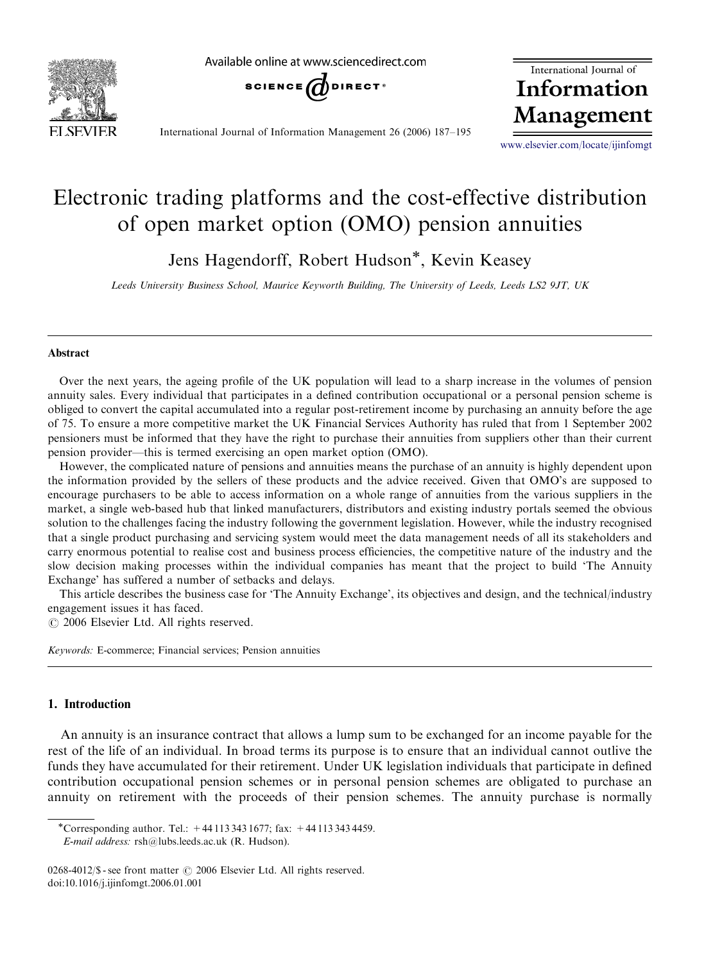

Available online at www.sciencedirect.com



International Journal of Information Management 26 (2006) 187–195

International Journal of Information Management

<www.elsevier.com/locate/ijinfomgt>

## Electronic trading platforms and the cost-effective distribution of open market option (OMO) pension annuities

Jens Hagendorff, Robert Hudson\*, Kevin Keasey

Leeds University Business School, Maurice Keyworth Building, The University of Leeds, Leeds LS2 9JT, UK

### Abstract

Over the next years, the ageing profile of the UK population will lead to a sharp increase in the volumes of pension annuity sales. Every individual that participates in a defined contribution occupational or a personal pension scheme is obliged to convert the capital accumulated into a regular post-retirement income by purchasing an annuity before the age of 75. To ensure a more competitive market the UK Financial Services Authority has ruled that from 1 September 2002 pensioners must be informed that they have the right to purchase their annuities from suppliers other than their current pension provider—this is termed exercising an open market option (OMO).

However, the complicated nature of pensions and annuities means the purchase of an annuity is highly dependent upon the information provided by the sellers of these products and the advice received. Given that OMO's are supposed to encourage purchasers to be able to access information on a whole range of annuities from the various suppliers in the market, a single web-based hub that linked manufacturers, distributors and existing industry portals seemed the obvious solution to the challenges facing the industry following the government legislation. However, while the industry recognised that a single product purchasing and servicing system would meet the data management needs of all its stakeholders and carry enormous potential to realise cost and business process efficiencies, the competitive nature of the industry and the slow decision making processes within the individual companies has meant that the project to build 'The Annuity Exchange' has suffered a number of setbacks and delays.

This article describes the business case for 'The Annuity Exchange', its objectives and design, and the technical/industry engagement issues it has faced.

 $\odot$  2006 Elsevier Ltd. All rights reserved.

Keywords: E-commerce; Financial services; Pension annuities

## 1. Introduction

An annuity is an insurance contract that allows a lump sum to be exchanged for an income payable for the rest of the life of an individual. In broad terms its purpose is to ensure that an individual cannot outlive the funds they have accumulated for their retirement. Under UK legislation individuals that participate in defined contribution occupational pension schemes or in personal pension schemes are obligated to purchase an annuity on retirement with the proceeds of their pension schemes. The annuity purchase is normally

E-mail address: rsh@lubs.leeds.ac.uk (R. Hudson).

<sup>\*</sup>Corresponding author. Tel.:  $+441133431677$ ; fax:  $+441133434459$ .

<sup>0268-4012/\$ -</sup> see front matter  $\odot$  2006 Elsevier Ltd. All rights reserved. doi:10.1016/j.ijinfomgt.2006.01.001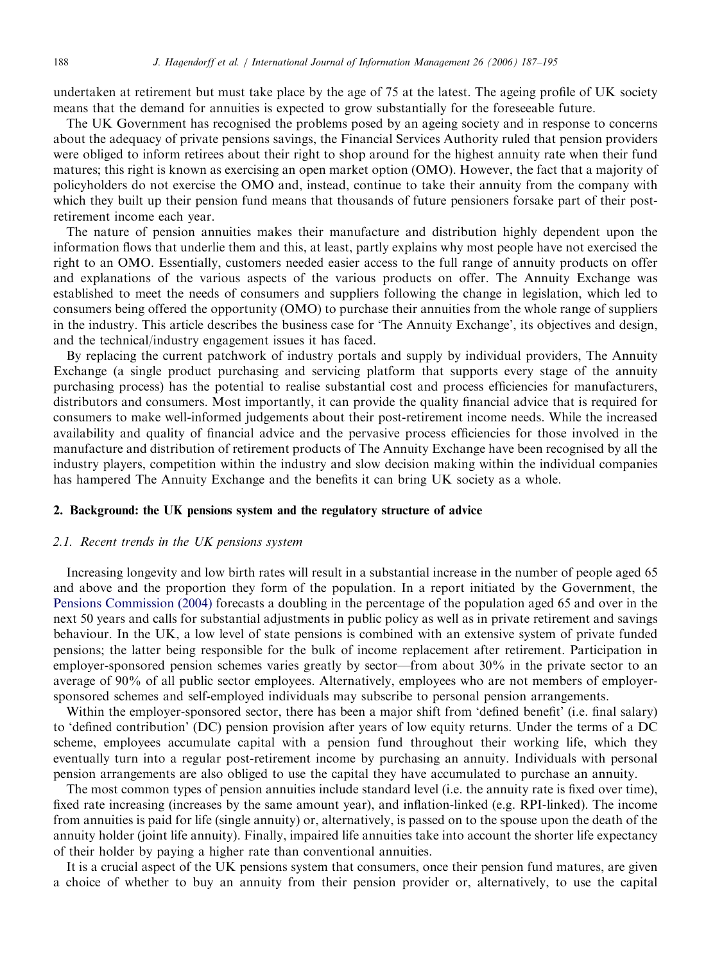undertaken at retirement but must take place by the age of 75 at the latest. The ageing profile of UK society means that the demand for annuities is expected to grow substantially for the foreseeable future.

The UK Government has recognised the problems posed by an ageing society and in response to concerns about the adequacy of private pensions savings, the Financial Services Authority ruled that pension providers were obliged to inform retirees about their right to shop around for the highest annuity rate when their fund matures; this right is known as exercising an open market option (OMO). However, the fact that a majority of policyholders do not exercise the OMO and, instead, continue to take their annuity from the company with which they built up their pension fund means that thousands of future pensioners forsake part of their postretirement income each year.

The nature of pension annuities makes their manufacture and distribution highly dependent upon the information flows that underlie them and this, at least, partly explains why most people have not exercised the right to an OMO. Essentially, customers needed easier access to the full range of annuity products on offer and explanations of the various aspects of the various products on offer. The Annuity Exchange was established to meet the needs of consumers and suppliers following the change in legislation, which led to consumers being offered the opportunity (OMO) to purchase their annuities from the whole range of suppliers in the industry. This article describes the business case for 'The Annuity Exchange', its objectives and design, and the technical/industry engagement issues it has faced.

By replacing the current patchwork of industry portals and supply by individual providers, The Annuity Exchange (a single product purchasing and servicing platform that supports every stage of the annuity purchasing process) has the potential to realise substantial cost and process efficiencies for manufacturers, distributors and consumers. Most importantly, it can provide the quality financial advice that is required for consumers to make well-informed judgements about their post-retirement income needs. While the increased availability and quality of financial advice and the pervasive process efficiencies for those involved in the manufacture and distribution of retirement products of The Annuity Exchange have been recognised by all the industry players, competition within the industry and slow decision making within the individual companies has hampered The Annuity Exchange and the benefits it can bring UK society as a whole.

### 2. Background: the UK pensions system and the regulatory structure of advice

#### 2.1. Recent trends in the UK pensions system

Increasing longevity and low birth rates will result in a substantial increase in the number of people aged 65 and above and the proportion they form of the population. In a report initiated by the Government, the [Pensions Commission \(2004\)](#page--1-0) forecasts a doubling in the percentage of the population aged 65 and over in the next 50 years and calls for substantial adjustments in public policy as well as in private retirement and savings behaviour. In the UK, a low level of state pensions is combined with an extensive system of private funded pensions; the latter being responsible for the bulk of income replacement after retirement. Participation in employer-sponsored pension schemes varies greatly by sector—from about 30% in the private sector to an average of 90% of all public sector employees. Alternatively, employees who are not members of employersponsored schemes and self-employed individuals may subscribe to personal pension arrangements.

Within the employer-sponsored sector, there has been a major shift from 'defined benefit' (i.e. final salary) to 'defined contribution' (DC) pension provision after years of low equity returns. Under the terms of a DC scheme, employees accumulate capital with a pension fund throughout their working life, which they eventually turn into a regular post-retirement income by purchasing an annuity. Individuals with personal pension arrangements are also obliged to use the capital they have accumulated to purchase an annuity.

The most common types of pension annuities include standard level (i.e. the annuity rate is fixed over time), fixed rate increasing (increases by the same amount year), and inflation-linked (e.g. RPI-linked). The income from annuities is paid for life (single annuity) or, alternatively, is passed on to the spouse upon the death of the annuity holder (joint life annuity). Finally, impaired life annuities take into account the shorter life expectancy of their holder by paying a higher rate than conventional annuities.

It is a crucial aspect of the UK pensions system that consumers, once their pension fund matures, are given a choice of whether to buy an annuity from their pension provider or, alternatively, to use the capital